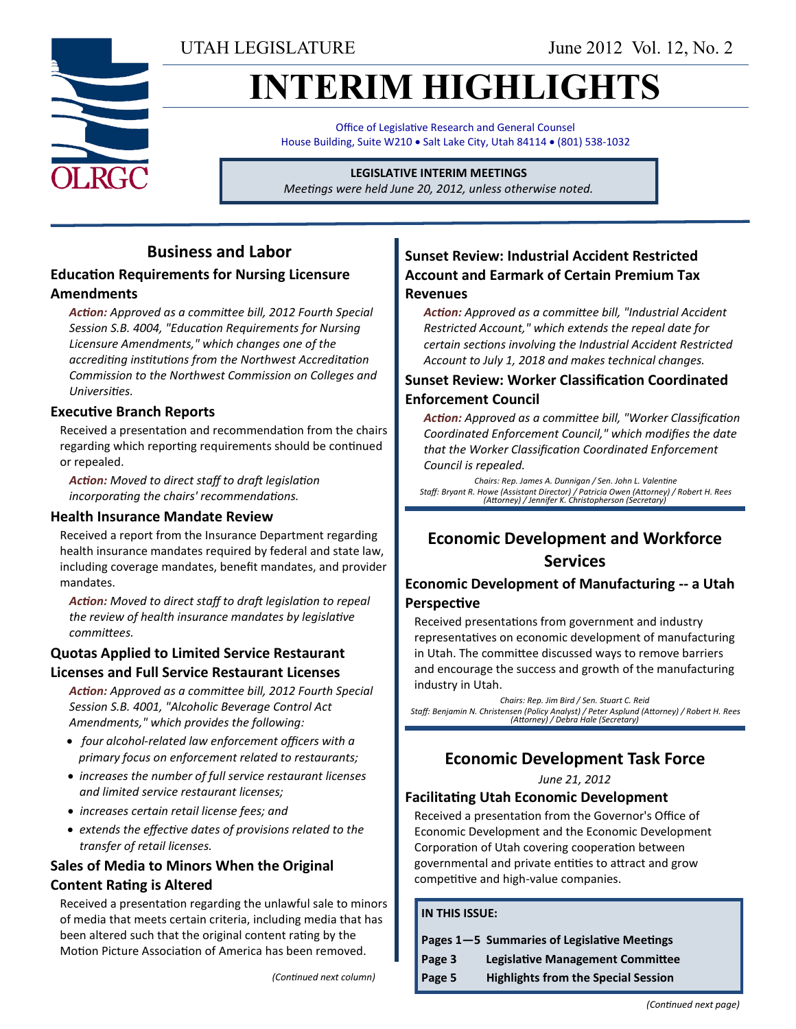UTAH LEGISLATURE June 2012 Vol. 12, No. 2

# **INTERIM HIGHLIGHTS**

Office of Legislative Research and General Counsel House Building, Suite W210 . Salt Lake City, Utah 84114 . (801) 538-1032

#### **LEGISLATIVE INTERIM MEETINGS**

*Meetings were held June 20, 2012, unless otherwise noted.*

### **Business and Labor**

### **Education Requirements for Nursing Licensure Amendments**

*Action: Approved as a committee bill, 2012 Fourth Special Session S.B. 4004, "Education Requirements for Nursing Licensure Amendments," which changes one of the accrediting institutions from the Northwest Accreditation Commission to the Northwest Commission on Colleges and Universities.*

### **Executive Branch Reports**

Received a presentation and recommendation from the chairs regarding which reporting requirements should be continued or repealed.

*Action: Moved to direct staff to draft legislation incorporating the chairs' recommendations.*

#### **Health Insurance Mandate Review**

Received a report from the Insurance Department regarding health insurance mandates required by federal and state law, including coverage mandates, benefit mandates, and provider mandates.

*Action: Moved to direct staff to draft legislation to repeal the review of health insurance mandates by legislative committees.*

### **Quotas Applied to Limited Service Restaurant Licenses and Full Service Restaurant Licenses**

*Action: Approved as a committee bill, 2012 Fourth Special Session S.B. 4001, "Alcoholic Beverage Control Act Amendments," which provides the following:*

- *four alcohol-related law enforcement officers with a primary focus on enforcement related to restaurants;*
- *increases the number of full service restaurant licenses and limited service restaurant licenses;*
- *increases certain retail license fees; and*
- *extends the effective dates of provisions related to the transfer of retail licenses.*

### **Sales of Media to Minors When the Original Content Rating is Altered**

Received a presentation regarding the unlawful sale to minors of media that meets certain criteria, including media that has been altered such that the original content rating by the Motion Picture Association of America has been removed.

### **Sunset Review: Industrial Accident Restricted Account and Earmark of Certain Premium Tax Revenues**

*Action: Approved as a committee bill, "Industrial Accident Restricted Account," which extends the repeal date for certain sections involving the Industrial Accident Restricted Account to July 1, 2018 and makes technical changes.*

### **Sunset Review: Worker Classification Coordinated Enforcement Council**

*Action: Approved as a committee bill, "Worker Classification Coordinated Enforcement Council," which modifies the date that the Worker Classification Coordinated Enforcement Council is repealed.*

*Chairs: Rep. James A. Dunnigan / Sen. John L. Valentine Staff: Bryant R. Howe (Assistant Director) / Patricia Owen (Attorney) / Robert H. Rees (Attorney) / Jennifer K. Christopherson (Secretary)*

### **Economic Development and Workforce Services**

### **Economic Development of Manufacturing -- a Utah Perspective**

Received presentations from government and industry representatives on economic development of manufacturing in Utah. The committee discussed ways to remove barriers and encourage the success and growth of the manufacturing industry in Utah.

*Chairs: Rep. Jim Bird / Sen. Stuart C. Reid Staff: Benjamin N. Christensen (Policy Analyst) / Peter Asplund (Attorney) / Robert H. Rees (Attorney) / Debra Hale (Secretary)*

### **Economic Development Task Force**

*June 21, 2012*

### **Facilitating Utah Economic Development**

Received a presentation from the Governor's Office of Economic Development and the Economic Development Corporation of Utah covering cooperation between governmental and private entities to attract and grow competitive and high-value companies.

#### **IN THIS ISSUE:**

|        | Pages 1-5 Summaries of Legislative Meetings |
|--------|---------------------------------------------|
| Page 3 | <b>Legislative Management Committee</b>     |
| Page 5 | <b>Highlights from the Special Session</b>  |

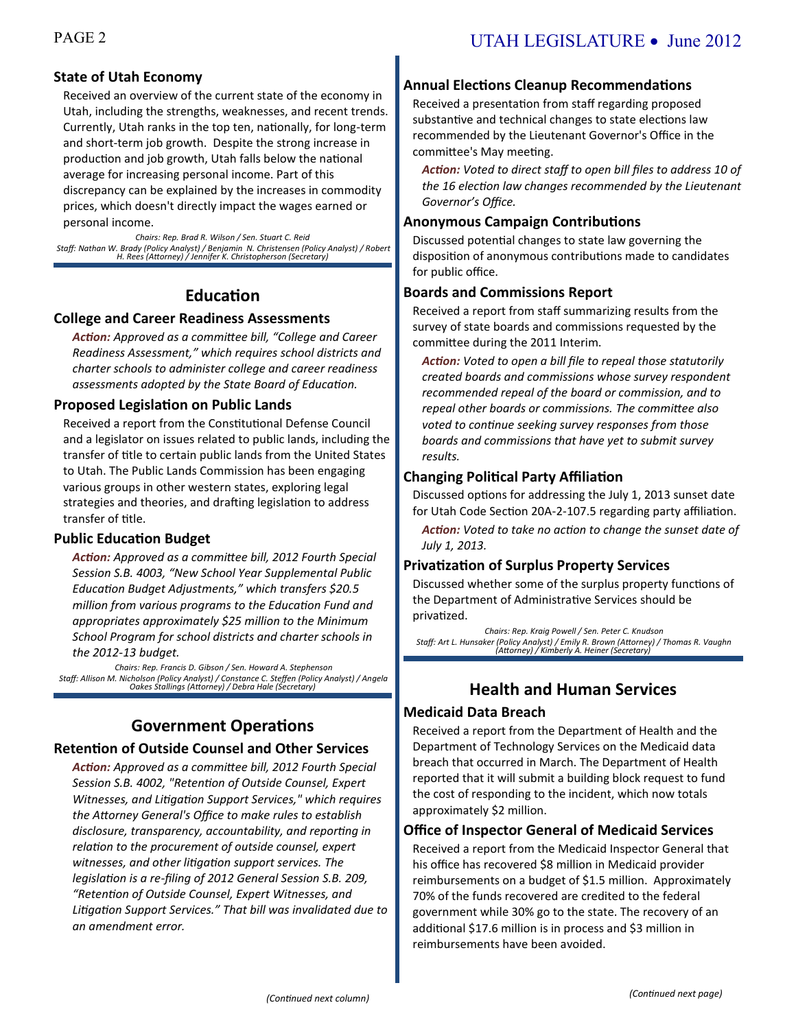### **State of Utah Economy**

Received an overview of the current state of the economy in Utah, including the strengths, weaknesses, and recent trends. Currently, Utah ranks in the top ten, nationally, for long-term and short-term job growth. Despite the strong increase in production and job growth, Utah falls below the national average for increasing personal income. Part of this discrepancy can be explained by the increases in commodity prices, which doesn't directly impact the wages earned or personal income.

*Chairs: Rep. Brad R. Wilson / Sen. Stuart C. Reid Staff: Nathan W. Brady (Policy Analyst) / Benjamin N. Christensen (Policy Analyst) / Robert H. Rees (Attorney) / Jennifer K. Christopherson (Secretary)*

### **Education**

### **College and Career Readiness Assessments**

*Action: Approved as a committee bill, "College and Career Readiness Assessment," which requires school districts and charter schools to administer college and career readiness assessments adopted by the State Board of Education.*

#### **Proposed Legislation on Public Lands**

Received a report from the Constitutional Defense Council and a legislator on issues related to public lands, including the transfer of title to certain public lands from the United States to Utah. The Public Lands Commission has been engaging various groups in other western states, exploring legal strategies and theories, and drafting legislation to address transfer of title.

### **Public Education Budget**

*Action: Approved as a committee bill, 2012 Fourth Special Session S.B. 4003, "New School Year Supplemental Public Education Budget Adjustments," which transfers \$20.5 million from various programs to the Education Fund and appropriates approximately \$25 million to the Minimum School Program for school districts and charter schools in the 2012-13 budget.*

*Chairs: Rep. Francis D. Gibson / Sen. Howard A. Stephenson Staff: Allison M. Nicholson (Policy Analyst) / Constance C. Steffen (Policy Analyst) / Angela Oakes Stallings (Attorney) / Debra Hale (Secretary)*

### **Government Operations**

#### **Retention of Outside Counsel and Other Services**

*Action: Approved as a committee bill, 2012 Fourth Special Session S.B. 4002, "Retention of Outside Counsel, Expert Witnesses, and Litigation Support Services," which requires the Attorney General's Office to make rules to establish disclosure, transparency, accountability, and reporting in relation to the procurement of outside counsel, expert witnesses, and other litigation support services. The legislation is a re-filing of 2012 General Session S.B. 209, "Retention of Outside Counsel, Expert Witnesses, and Litigation Support Services." That bill was invalidated due to an amendment error.*

### **Annual Elections Cleanup Recommendations**

Received a presentation from staff regarding proposed substantive and technical changes to state elections law recommended by the Lieutenant Governor's Office in the committee's May meeting.

*Action: Voted to direct staff to open bill files to address 10 of the 16 election law changes recommended by the Lieutenant Governor's Office.*

### **Anonymous Campaign Contributions**

Discussed potential changes to state law governing the disposition of anonymous contributions made to candidates for public office.

### **Boards and Commissions Report**

Received a report from staff summarizing results from the survey of state boards and commissions requested by the committee during the 2011 Interim.

*Action: Voted to open a bill file to repeal those statutorily created boards and commissions whose survey respondent recommended repeal of the board or commission, and to repeal other boards or commissions. The committee also voted to continue seeking survey responses from those boards and commissions that have yet to submit survey results.*

### **Changing Political Party Affiliation**

Discussed options for addressing the July 1, 2013 sunset date for Utah Code Section 20A-2-107.5 regarding party affiliation.

*Action: Voted to take no action to change the sunset date of July 1, 2013.*

### **Privatization of Surplus Property Services**

Discussed whether some of the surplus property functions of the Department of Administrative Services should be privatized.

*Chairs: Rep. Kraig Powell / Sen. Peter C. Knudson Staff: Art L. Hunsaker (Policy Analyst) / Emily R. Brown (Attorney) / Thomas R. Vaughn (Attorney) / Kimberly A. Heiner (Secretary)*

### **Health and Human Services**

#### **Medicaid Data Breach**

Received a report from the Department of Health and the Department of Technology Services on the Medicaid data breach that occurred in March. The Department of Health reported that it will submit a building block request to fund the cost of responding to the incident, which now totals approximately \$2 million.

#### **Office of Inspector General of Medicaid Services**

Received a report from the Medicaid Inspector General that his office has recovered \$8 million in Medicaid provider reimbursements on a budget of \$1.5 million. Approximately 70% of the funds recovered are credited to the federal government while 30% go to the state. The recovery of an additional \$17.6 million is in process and \$3 million in reimbursements have been avoided.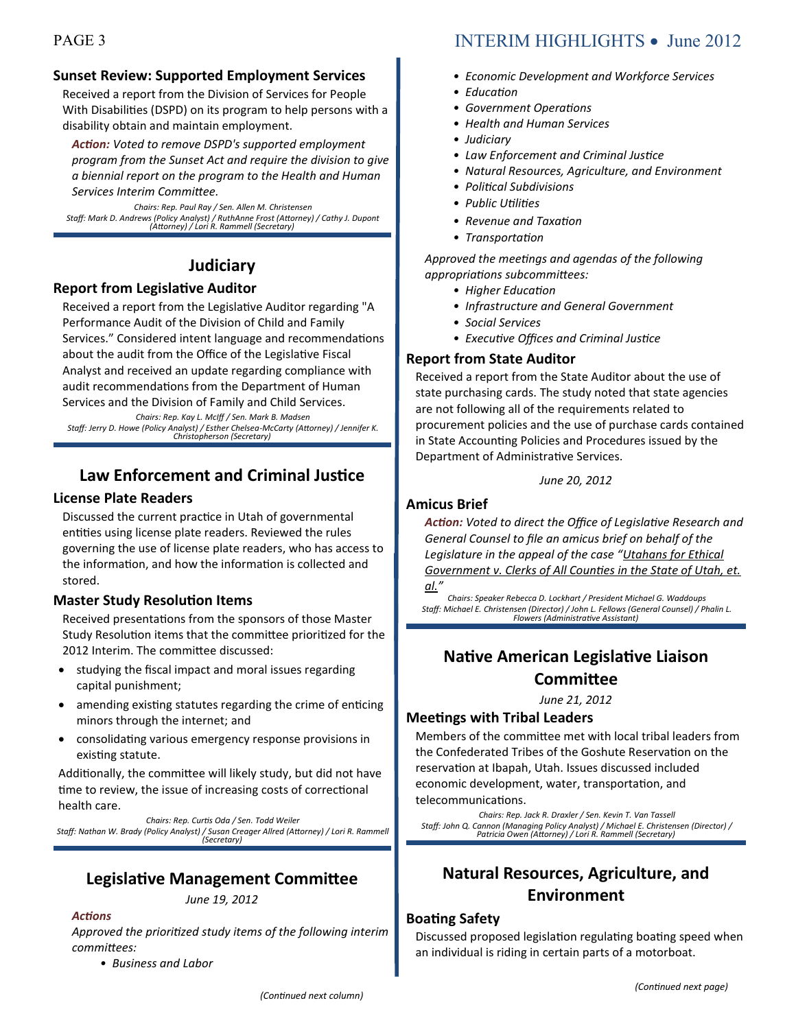### **Sunset Review: Supported Employment Services**

Received a report from the Division of Services for People With Disabilities (DSPD) on its program to help persons with a disability obtain and maintain employment.

*Action: Voted to remove DSPD's supported employment program from the Sunset Act and require the division to give a biennial report on the program to the Health and Human Services Interim Committee.*

*Chairs: Rep. Paul Ray / Sen. Allen M. Christensen Staff: Mark D. Andrews (Policy Analyst) / RuthAnne Frost (Attorney) / Cathy J. Dupont (Attorney) / Lori R. Rammell (Secretary)*

### **Judiciary**

### **Report from Legislative Auditor**

Received a report from the Legislative Auditor regarding "A Performance Audit of the Division of Child and Family Services." Considered intent language and recommendations about the audit from the Office of the Legislative Fiscal Analyst and received an update regarding compliance with audit recommendations from the Department of Human Services and the Division of Family and Child Services.

*Chairs: Rep. Kay L. McIff / Sen. Mark B. Madsen Staff: Jerry D. Howe (Policy Analyst) / Esther Chelsea-McCarty (Attorney) / Jennifer K. Christopherson (Secretary)*

### **Law Enforcement and Criminal Justice**

### **License Plate Readers**

Discussed the current practice in Utah of governmental entities using license plate readers. Reviewed the rules governing the use of license plate readers, who has access to the information, and how the information is collected and stored.

### **Master Study Resolution Items**

Received presentations from the sponsors of those Master Study Resolution items that the committee prioritized for the 2012 Interim. The committee discussed:

- studying the fiscal impact and moral issues regarding capital punishment;
- amending existing statutes regarding the crime of enticing minors through the internet; and
- consolidating various emergency response provisions in existing statute.

Additionally, the committee will likely study, but did not have time to review, the issue of increasing costs of correctional health care.

*Chairs: Rep. Curtis Oda / Sen. Todd Weiler Staff: Nathan W. Brady (Policy Analyst) / Susan Creager Allred (Attorney) / Lori R. Rammell (Secretary)*

### **Legislative Management Committee** *June 19, 2012*

*Actions*

*Approved the prioritized study items of the following interim committees:*

*• Business and Labor*

## PAGE 3 INTERIM HIGHLIGHTS • June 2012

- *Economic Development and Workforce Services*
- *Education*
- *Government Operations*
- *Health and Human Services*
- *Judiciary*
- *Law Enforcement and Criminal Justice*
- *Natural Resources, Agriculture, and Environment*
- *Political Subdivisions*
- *Public Utilities*
- *Revenue and Taxation*
- *Transportation*

*Approved the meetings and agendas of the following appropriations subcommittees:*

- *Higher Education*
- *Infrastructure and General Government*
- *Social Services*
- *Executive Offices and Criminal Justice*

### **Report from State Auditor**

Received a report from the State Auditor about the use of state purchasing cards. The study noted that state agencies are not following all of the requirements related to procurement policies and the use of purchase cards contained in State Accounting Policies and Procedures issued by the Department of Administrative Services.

*June 20, 2012*

### **Amicus Brief**

*Action: Voted to direct the Office of Legislative Research and General Counsel to file an amicus brief on behalf of the Legislature in the appeal of the case "Utahans for Ethical Government v. Clerks of All Counties in the State of Utah, et. al."* 

*Chairs: Speaker Rebecca D. Lockhart / President Michael G. Waddoups Staff: Michael E. Christensen (Director) / John L. Fellows (General Counsel) / Phalin L. Flowers (Administrative Assistant)*

### **Native American Legislative Liaison Committee**

*June 21, 2012*

### **Meetings with Tribal Leaders**

Members of the committee met with local tribal leaders from the Confederated Tribes of the Goshute Reservation on the reservation at Ibapah, Utah. Issues discussed included economic development, water, transportation, and telecommunications.

*Chairs: Rep. Jack R. Draxler / Sen. Kevin T. Van Tassell Staff: John Q. Cannon (Managing Policy Analyst) / Michael E. Christensen (Director) / Patricia Owen (Attorney) / Lori R. Rammell (Secretary)*

## **Natural Resources, Agriculture, and Environment**

### **Boating Safety**

Discussed proposed legislation regulating boating speed when an individual is riding in certain parts of a motorboat.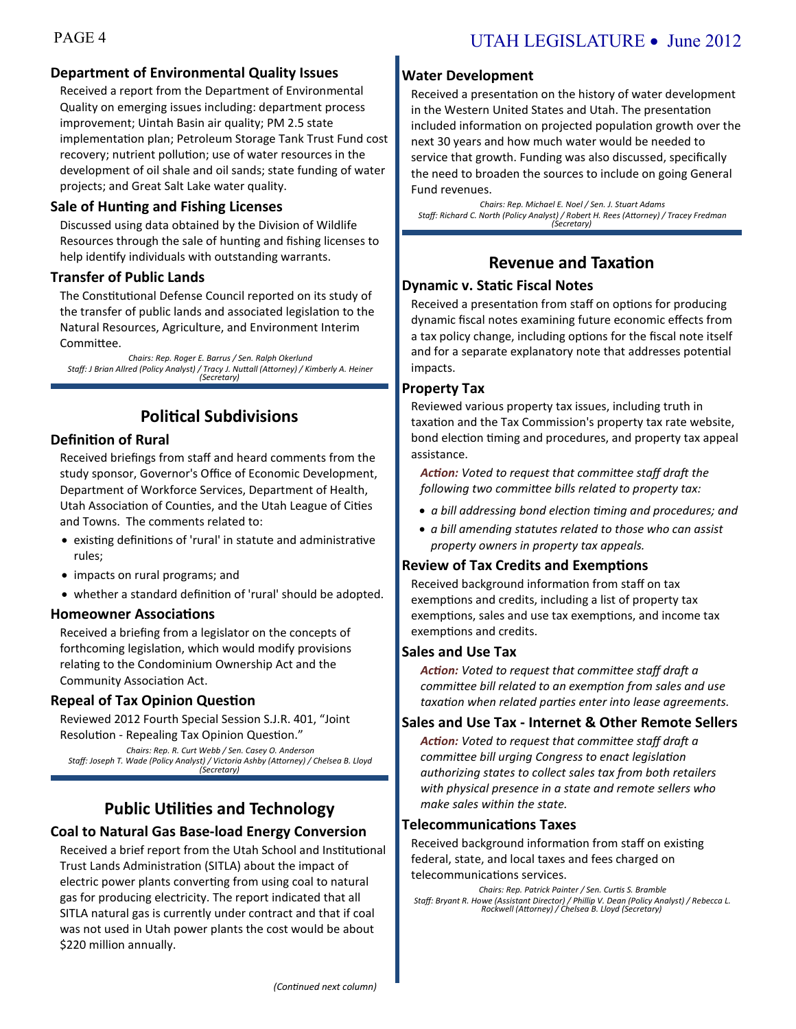### **Department of Environmental Quality Issues**

Received a report from the Department of Environmental Quality on emerging issues including: department process improvement; Uintah Basin air quality; PM 2.5 state implementation plan; Petroleum Storage Tank Trust Fund cost recovery; nutrient pollution; use of water resources in the development of oil shale and oil sands; state funding of water projects; and Great Salt Lake water quality.

#### **Sale of Hunting and Fishing Licenses**

Discussed using data obtained by the Division of Wildlife Resources through the sale of hunting and fishing licenses to help identify individuals with outstanding warrants.

### **Transfer of Public Lands**

The Constitutional Defense Council reported on its study of the transfer of public lands and associated legislation to the Natural Resources, Agriculture, and Environment Interim Committee.

*Chairs: Rep. Roger E. Barrus / Sen. Ralph Okerlund Staff: J Brian Allred (Policy Analyst) / Tracy J. Nuttall (Attorney) / Kimberly A. Heiner (Secretary)*

### **Political Subdivisions**

### **Definition of Rural**

Received briefings from staff and heard comments from the study sponsor, Governor's Office of Economic Development, Department of Workforce Services, Department of Health, Utah Association of Counties, and the Utah League of Cities and Towns. The comments related to:

- existing definitions of 'rural' in statute and administrative rules;
- impacts on rural programs; and
- whether a standard definition of 'rural' should be adopted.

#### **Homeowner Associations**

Received a briefing from a legislator on the concepts of forthcoming legislation, which would modify provisions relating to the Condominium Ownership Act and the Community Association Act.

### **Repeal of Tax Opinion Question**

Reviewed 2012 Fourth Special Session S.J.R. 401, "Joint Resolution - Repealing Tax Opinion Question." *Chairs: Rep. R. Curt Webb / Sen. Casey O. Anderson*

*Staff: Joseph T. Wade (Policy Analyst) / Victoria Ashby (Attorney) / Chelsea B. Lloyd (Secretary)*

### **Public Utilities and Technology**

### **Coal to Natural Gas Base-load Energy Conversion**

Received a brief report from the Utah School and Institutional Trust Lands Administration (SITLA) about the impact of electric power plants converting from using coal to natural gas for producing electricity. The report indicated that all SITLA natural gas is currently under contract and that if coal was not used in Utah power plants the cost would be about \$220 million annually.

#### **Water Development**

Received a presentation on the history of water development in the Western United States and Utah. The presentation included information on projected population growth over the next 30 years and how much water would be needed to service that growth. Funding was also discussed, specifically the need to broaden the sources to include on going General Fund revenues.

*Chairs: Rep. Michael E. Noel / Sen. J. Stuart Adams Staff: Richard C. North (Policy Analyst) / Robert H. Rees (Attorney) / Tracey Fredman (Secretary)*

### **Revenue and Taxation**

### **Dynamic v. Static Fiscal Notes**

Received a presentation from staff on options for producing dynamic fiscal notes examining future economic effects from a tax policy change, including options for the fiscal note itself and for a separate explanatory note that addresses potential impacts.

#### **Property Tax**

Reviewed various property tax issues, including truth in taxation and the Tax Commission's property tax rate website, bond election timing and procedures, and property tax appeal assistance.

*Action: Voted to request that committee staff draft the following two committee bills related to property tax:*

- *a bill addressing bond election timing and procedures; and*
- *a bill amending statutes related to those who can assist property owners in property tax appeals.*

### **Review of Tax Credits and Exemptions**

Received background information from staff on tax exemptions and credits, including a list of property tax exemptions, sales and use tax exemptions, and income tax exemptions and credits.

#### **Sales and Use Tax**

*Action: Voted to request that committee staff draft a committee bill related to an exemption from sales and use taxation when related parties enter into lease agreements.*

### **Sales and Use Tax - Internet & Other Remote Sellers**

*Action: Voted to request that committee staff draft a committee bill urging Congress to enact legislation authorizing states to collect sales tax from both retailers with physical presence in a state and remote sellers who make sales within the state.*

#### **Telecommunications Taxes**

Received background information from staff on existing federal, state, and local taxes and fees charged on telecommunications services.

*Chairs: Rep. Patrick Painter / Sen. Curtis S. Bramble Staff: Bryant R. Howe (Assistant Director) / Phillip V. Dean (Policy Analyst) / Rebecca L. Rockwell (Attorney) / Chelsea B. Lloyd (Secretary)*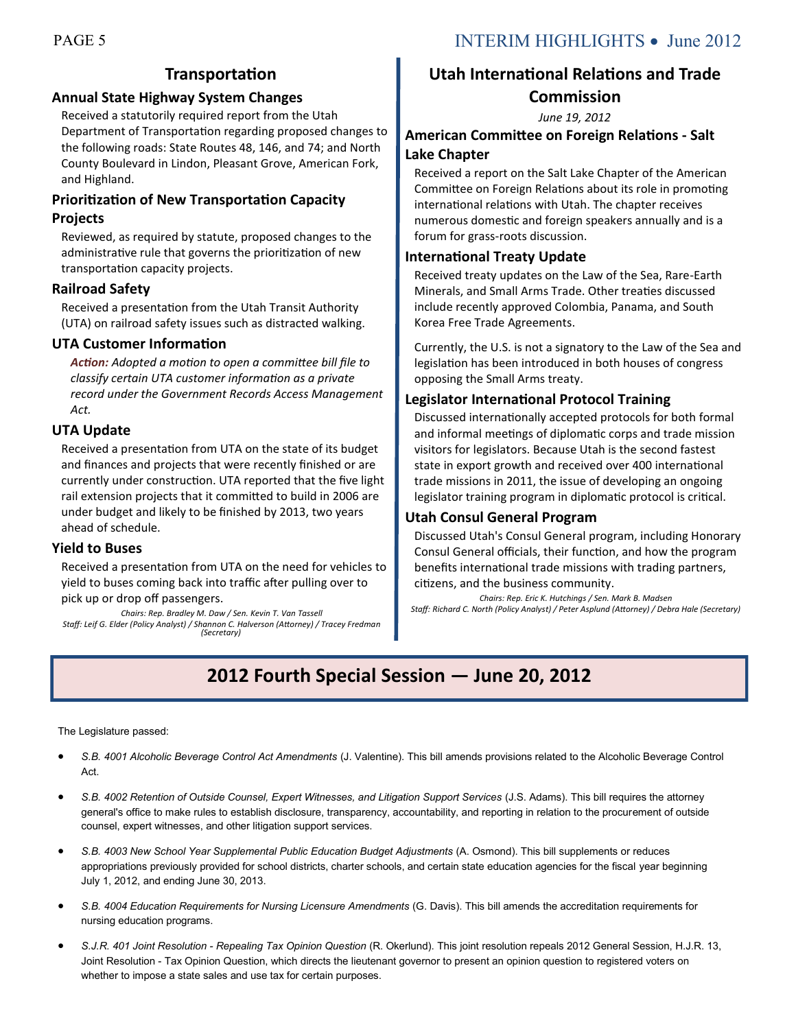### **Transportation**

### **Annual State Highway System Changes**

Received a statutorily required report from the Utah Department of Transportation regarding proposed changes to the following roads: State Routes 48, 146, and 74; and North County Boulevard in Lindon, Pleasant Grove, American Fork, and Highland.

### **Prioritization of New Transportation Capacity Projects**

Reviewed, as required by statute, proposed changes to the administrative rule that governs the prioritization of new transportation capacity projects.

### **Railroad Safety**

Received a presentation from the Utah Transit Authority (UTA) on railroad safety issues such as distracted walking.

### **UTA Customer Information**

*Action: Adopted a motion to open a committee bill file to classify certain UTA customer information as a private record under the Government Records Access Management Act.*

#### **UTA Update**

Received a presentation from UTA on the state of its budget and finances and projects that were recently finished or are currently under construction. UTA reported that the five light rail extension projects that it committed to build in 2006 are under budget and likely to be finished by 2013, two years ahead of schedule.

#### **Yield to Buses**

Received a presentation from UTA on the need for vehicles to yield to buses coming back into traffic after pulling over to pick up or drop off passengers.

*Chairs: Rep. Bradley M. Daw / Sen. Kevin T. Van Tassell Staff: Leif G. Elder (Policy Analyst) / Shannon C. Halverson (Attorney) / Tracey Fredman (Secretary)*

### **Utah International Relations and Trade Commission**

*June 19, 2012*

### **American Committee on Foreign Relations - Salt Lake Chapter**

Received a report on the Salt Lake Chapter of the American Committee on Foreign Relations about its role in promoting international relations with Utah. The chapter receives numerous domestic and foreign speakers annually and is a forum for grass-roots discussion.

#### **International Treaty Update**

Received treaty updates on the Law of the Sea, Rare-Earth Minerals, and Small Arms Trade. Other treaties discussed include recently approved Colombia, Panama, and South Korea Free Trade Agreements.

Currently, the U.S. is not a signatory to the Law of the Sea and legislation has been introduced in both houses of congress opposing the Small Arms treaty.

### **Legislator International Protocol Training**

Discussed internationally accepted protocols for both formal and informal meetings of diplomatic corps and trade mission visitors for legislators. Because Utah is the second fastest state in export growth and received over 400 international trade missions in 2011, the issue of developing an ongoing legislator training program in diplomatic protocol is critical.

#### **Utah Consul General Program**

Discussed Utah's Consul General program, including Honorary Consul General officials, their function, and how the program benefits international trade missions with trading partners, citizens, and the business community.

*Chairs: Rep. Eric K. Hutchings / Sen. Mark B. Madsen Staff: Richard C. North (Policy Analyst) / Peter Asplund (Attorney) / Debra Hale (Secretary)*

## **2012 Fourth Special Session — June 20, 2012**

The Legislature passed:

- *S.B. 4001 Alcoholic Beverage Control Act Amendments* (J. Valentine). This bill amends provisions related to the Alcoholic Beverage Control Act.
- S.B. 4002 Retention of Outside Counsel, Expert Witnesses, and Litigation Support Services (J.S. Adams). This bill requires the attorney general's office to make rules to establish disclosure, transparency, accountability, and reporting in relation to the procurement of outside counsel, expert witnesses, and other litigation support services.
- *S.B. 4003 New School Year Supplemental Public Education Budget Adjustments* (A. Osmond). This bill supplements or reduces appropriations previously provided for school districts, charter schools, and certain state education agencies for the fiscal year beginning July 1, 2012, and ending June 30, 2013.
- *S.B. 4004 Education Requirements for Nursing Licensure Amendments* (G. Davis). This bill amends the accreditation requirements for nursing education programs.
- *S.J.R. 401 Joint Resolution - Repealing Tax Opinion Question* (R. Okerlund). This joint resolution repeals 2012 General Session, H.J.R. 13, Joint Resolution - Tax Opinion Question, which directs the lieutenant governor to present an opinion question to registered voters on whether to impose a state sales and use tax for certain purposes.